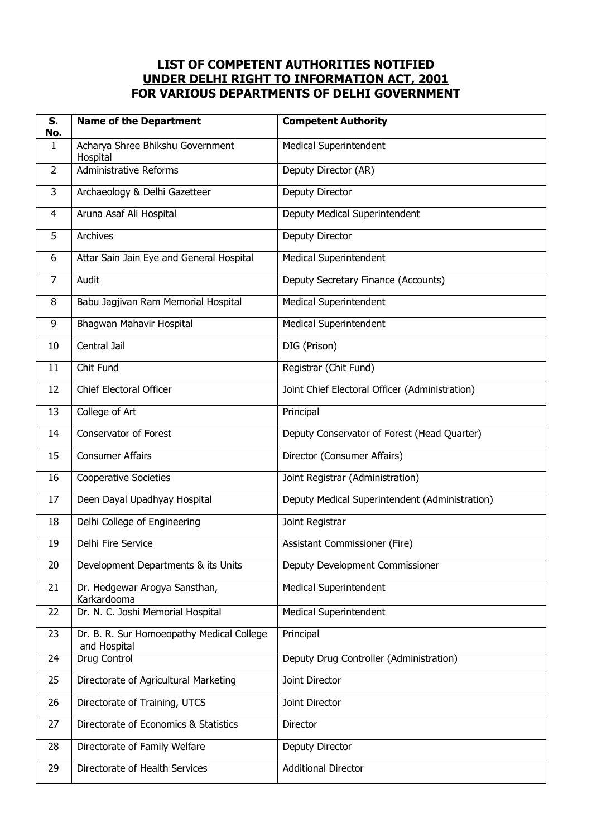## **LIST OF COMPETENT AUTHORITIES NOTIFIED UNDER DELHI RIGHT TO INFORMATION ACT, 2001 FOR VARIOUS DEPARTMENTS OF DELHI GOVERNMENT**

| S.<br>No.      | <b>Name of the Department</b>                             | <b>Competent Authority</b>                     |
|----------------|-----------------------------------------------------------|------------------------------------------------|
| 1              | Acharya Shree Bhikshu Government<br>Hospital              | <b>Medical Superintendent</b>                  |
| 2              | <b>Administrative Reforms</b>                             | Deputy Director (AR)                           |
| 3              | Archaeology & Delhi Gazetteer                             | Deputy Director                                |
| $\overline{4}$ | Aruna Asaf Ali Hospital                                   | Deputy Medical Superintendent                  |
| 5              | Archives                                                  | Deputy Director                                |
| 6              | Attar Sain Jain Eye and General Hospital                  | <b>Medical Superintendent</b>                  |
| $\overline{7}$ | Audit                                                     | Deputy Secretary Finance (Accounts)            |
| 8              | Babu Jagjivan Ram Memorial Hospital                       | <b>Medical Superintendent</b>                  |
| 9              | Bhagwan Mahavir Hospital                                  | <b>Medical Superintendent</b>                  |
| 10             | Central Jail                                              | DIG (Prison)                                   |
| 11             | Chit Fund                                                 | Registrar (Chit Fund)                          |
| 12             | <b>Chief Electoral Officer</b>                            | Joint Chief Electoral Officer (Administration) |
| 13             | College of Art                                            | Principal                                      |
| 14             | <b>Conservator of Forest</b>                              | Deputy Conservator of Forest (Head Quarter)    |
| 15             | <b>Consumer Affairs</b>                                   | Director (Consumer Affairs)                    |
| 16             | <b>Cooperative Societies</b>                              | Joint Registrar (Administration)               |
| 17             | Deen Dayal Upadhyay Hospital                              | Deputy Medical Superintendent (Administration) |
| 18             | Delhi College of Engineering                              | Joint Registrar                                |
| 19             | Delhi Fire Service                                        | Assistant Commissioner (Fire)                  |
| 20             | Development Departments & its Units                       | Deputy Development Commissioner                |
| 21             | Dr. Hedgewar Arogya Sansthan,<br>Karkardooma              | <b>Medical Superintendent</b>                  |
| 22             | Dr. N. C. Joshi Memorial Hospital                         | <b>Medical Superintendent</b>                  |
| 23             | Dr. B. R. Sur Homoeopathy Medical College<br>and Hospital | Principal                                      |
| 24             | Drug Control                                              | Deputy Drug Controller (Administration)        |
| 25             | Directorate of Agricultural Marketing                     | Joint Director                                 |
| 26             | Directorate of Training, UTCS                             | Joint Director                                 |
| 27             | Directorate of Economics & Statistics                     | Director                                       |
| 28             | Directorate of Family Welfare                             | Deputy Director                                |
| 29             | Directorate of Health Services                            | <b>Additional Director</b>                     |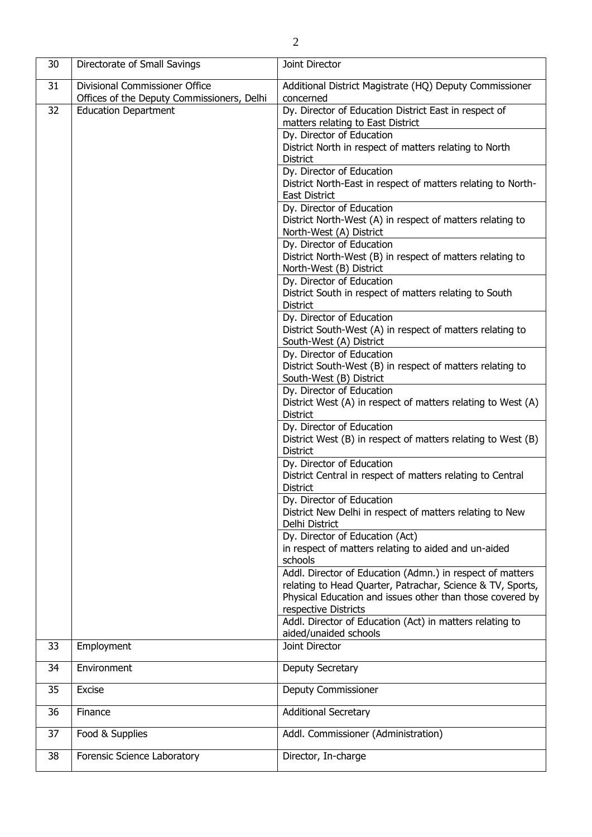| 30 | Directorate of Small Savings               | Joint Director                                                                                                                                                                                               |
|----|--------------------------------------------|--------------------------------------------------------------------------------------------------------------------------------------------------------------------------------------------------------------|
| 31 | <b>Divisional Commissioner Office</b>      | Additional District Magistrate (HQ) Deputy Commissioner                                                                                                                                                      |
|    | Offices of the Deputy Commissioners, Delhi | concerned                                                                                                                                                                                                    |
| 32 | <b>Education Department</b>                | Dy. Director of Education District East in respect of<br>matters relating to East District                                                                                                                   |
|    |                                            | Dy. Director of Education<br>District North in respect of matters relating to North<br><b>District</b>                                                                                                       |
|    |                                            | Dy. Director of Education<br>District North-East in respect of matters relating to North-<br><b>East District</b>                                                                                            |
|    |                                            | Dy. Director of Education<br>District North-West (A) in respect of matters relating to<br>North-West (A) District                                                                                            |
|    |                                            | Dy. Director of Education<br>District North-West (B) in respect of matters relating to<br>North-West (B) District                                                                                            |
|    |                                            | Dy. Director of Education<br>District South in respect of matters relating to South<br><b>District</b>                                                                                                       |
|    |                                            | Dy. Director of Education<br>District South-West (A) in respect of matters relating to<br>South-West (A) District                                                                                            |
|    |                                            | Dy. Director of Education<br>District South-West (B) in respect of matters relating to<br>South-West (B) District                                                                                            |
|    |                                            | Dy. Director of Education<br>District West (A) in respect of matters relating to West (A)<br><b>District</b>                                                                                                 |
|    |                                            | Dy. Director of Education<br>District West (B) in respect of matters relating to West (B)<br><b>District</b>                                                                                                 |
|    |                                            | Dy. Director of Education<br>District Central in respect of matters relating to Central<br><b>District</b>                                                                                                   |
|    |                                            | Dy. Director of Education<br>District New Delhi in respect of matters relating to New<br>Delhi District                                                                                                      |
|    |                                            | Dy. Director of Education (Act)<br>in respect of matters relating to aided and un-aided<br>schools                                                                                                           |
|    |                                            | Addl. Director of Education (Admn.) in respect of matters<br>relating to Head Quarter, Patrachar, Science & TV, Sports,<br>Physical Education and issues other than those covered by<br>respective Districts |
|    |                                            | Addl. Director of Education (Act) in matters relating to<br>aided/unaided schools                                                                                                                            |
| 33 | Employment                                 | Joint Director                                                                                                                                                                                               |
| 34 | Environment                                | Deputy Secretary                                                                                                                                                                                             |
| 35 | <b>Excise</b>                              | Deputy Commissioner                                                                                                                                                                                          |
| 36 | Finance                                    | <b>Additional Secretary</b>                                                                                                                                                                                  |
| 37 | Food & Supplies                            | Addl. Commissioner (Administration)                                                                                                                                                                          |
| 38 | Forensic Science Laboratory                | Director, In-charge                                                                                                                                                                                          |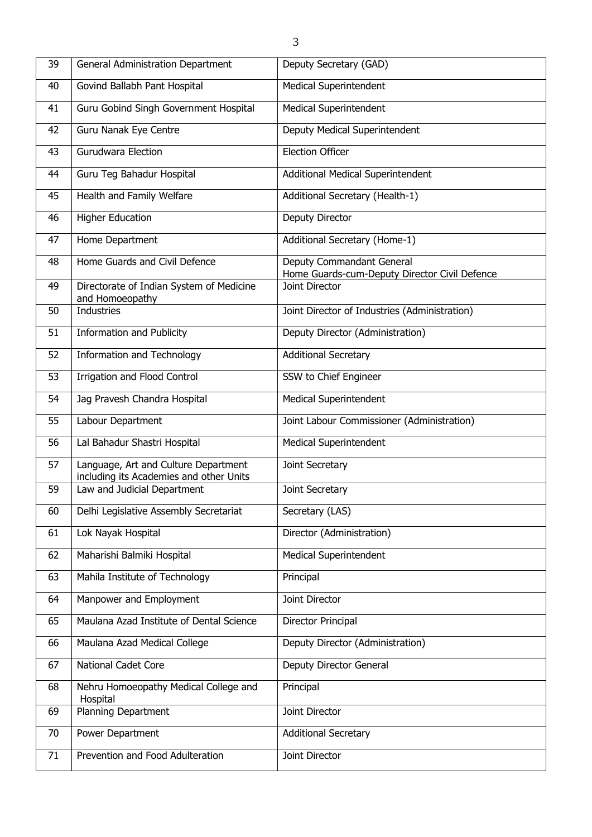| 39 | General Administration Department                                               | Deputy Secretary (GAD)                                                     |
|----|---------------------------------------------------------------------------------|----------------------------------------------------------------------------|
| 40 | Govind Ballabh Pant Hospital                                                    | <b>Medical Superintendent</b>                                              |
| 41 | Guru Gobind Singh Government Hospital                                           | <b>Medical Superintendent</b>                                              |
| 42 | Guru Nanak Eye Centre                                                           | Deputy Medical Superintendent                                              |
| 43 | <b>Gurudwara Election</b>                                                       | <b>Election Officer</b>                                                    |
| 44 | Guru Teg Bahadur Hospital                                                       | Additional Medical Superintendent                                          |
| 45 | Health and Family Welfare                                                       | Additional Secretary (Health-1)                                            |
| 46 | <b>Higher Education</b>                                                         | Deputy Director                                                            |
| 47 | Home Department                                                                 | Additional Secretary (Home-1)                                              |
| 48 | Home Guards and Civil Defence                                                   | Deputy Commandant General<br>Home Guards-cum-Deputy Director Civil Defence |
| 49 | Directorate of Indian System of Medicine<br>and Homoeopathy                     | Joint Director                                                             |
| 50 | <b>Industries</b>                                                               | Joint Director of Industries (Administration)                              |
| 51 | <b>Information and Publicity</b>                                                | Deputy Director (Administration)                                           |
| 52 | <b>Information and Technology</b>                                               | <b>Additional Secretary</b>                                                |
| 53 | <b>Irrigation and Flood Control</b>                                             | SSW to Chief Engineer                                                      |
| 54 | Jag Pravesh Chandra Hospital                                                    | Medical Superintendent                                                     |
| 55 | Labour Department                                                               | Joint Labour Commissioner (Administration)                                 |
| 56 | Lal Bahadur Shastri Hospital                                                    | Medical Superintendent                                                     |
| 57 | Language, Art and Culture Department<br>including its Academies and other Units | Joint Secretary                                                            |
| 59 | Law and Judicial Department                                                     | Joint Secretary                                                            |
| 60 | Delhi Legislative Assembly Secretariat                                          | Secretary (LAS)                                                            |
| 61 | Lok Nayak Hospital                                                              | Director (Administration)                                                  |
| 62 | Maharishi Balmiki Hospital                                                      | <b>Medical Superintendent</b>                                              |
| 63 | Mahila Institute of Technology                                                  | Principal                                                                  |
| 64 | Manpower and Employment                                                         | Joint Director                                                             |
| 65 | Maulana Azad Institute of Dental Science                                        | Director Principal                                                         |
| 66 | Maulana Azad Medical College                                                    | Deputy Director (Administration)                                           |
| 67 | National Cadet Core                                                             | Deputy Director General                                                    |
| 68 | Nehru Homoeopathy Medical College and<br>Hospital                               | Principal                                                                  |
| 69 | Planning Department                                                             | Joint Director                                                             |
| 70 | Power Department                                                                | <b>Additional Secretary</b>                                                |
| 71 | Prevention and Food Adulteration                                                | Joint Director                                                             |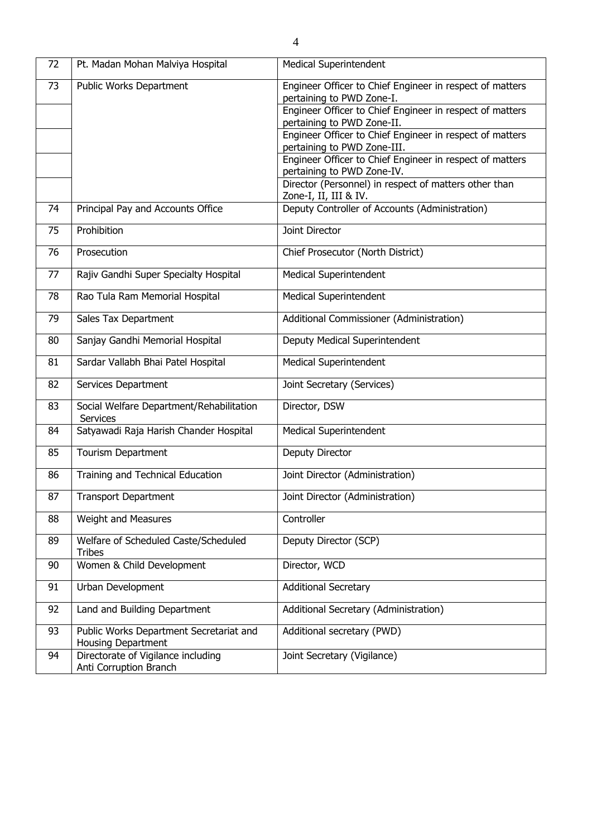| 72 | Pt. Madan Mohan Malviya Hospital                              | <b>Medical Superintendent</b>                                                           |
|----|---------------------------------------------------------------|-----------------------------------------------------------------------------------------|
| 73 | Public Works Department                                       | Engineer Officer to Chief Engineer in respect of matters<br>pertaining to PWD Zone-I.   |
|    |                                                               | Engineer Officer to Chief Engineer in respect of matters<br>pertaining to PWD Zone-II.  |
|    |                                                               | Engineer Officer to Chief Engineer in respect of matters<br>pertaining to PWD Zone-III. |
|    |                                                               | Engineer Officer to Chief Engineer in respect of matters<br>pertaining to PWD Zone-IV.  |
|    |                                                               | Director (Personnel) in respect of matters other than<br>Zone-I, II, III & IV.          |
| 74 | Principal Pay and Accounts Office                             | Deputy Controller of Accounts (Administration)                                          |
| 75 | Prohibition                                                   | Joint Director                                                                          |
| 76 | Prosecution                                                   | Chief Prosecutor (North District)                                                       |
| 77 | Rajiv Gandhi Super Specialty Hospital                         | Medical Superintendent                                                                  |
| 78 | Rao Tula Ram Memorial Hospital                                | Medical Superintendent                                                                  |
| 79 | Sales Tax Department                                          | Additional Commissioner (Administration)                                                |
| 80 | Sanjay Gandhi Memorial Hospital                               | Deputy Medical Superintendent                                                           |
| 81 | Sardar Vallabh Bhai Patel Hospital                            | Medical Superintendent                                                                  |
| 82 | Services Department                                           | Joint Secretary (Services)                                                              |
| 83 | Social Welfare Department/Rehabilitation<br><b>Services</b>   | Director, DSW                                                                           |
| 84 | Satyawadi Raja Harish Chander Hospital                        | <b>Medical Superintendent</b>                                                           |
| 85 | Tourism Department                                            | Deputy Director                                                                         |
| 86 | Training and Technical Education                              | Joint Director (Administration)                                                         |
| 87 | <b>Transport Department</b>                                   | Joint Director (Administration)                                                         |
| 88 | Weight and Measures                                           | Controller                                                                              |
| 89 | Welfare of Scheduled Caste/Scheduled<br><b>Tribes</b>         | Deputy Director (SCP)                                                                   |
| 90 | Women & Child Development                                     | Director, WCD                                                                           |
| 91 | Urban Development                                             | <b>Additional Secretary</b>                                                             |
| 92 | Land and Building Department                                  | Additional Secretary (Administration)                                                   |
| 93 | Public Works Department Secretariat and<br>Housing Department | Additional secretary (PWD)                                                              |
| 94 | Directorate of Vigilance including<br>Anti Corruption Branch  | Joint Secretary (Vigilance)                                                             |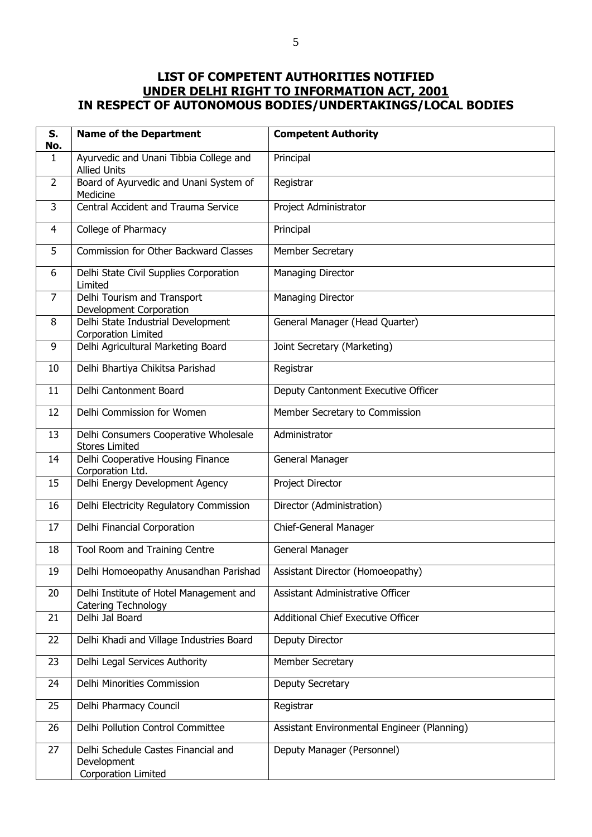## **LIST OF COMPETENT AUTHORITIES NOTIFIED UNDER DELHI RIGHT TO INFORMATION ACT, 2001 IN RESPECT OF AUTONOMOUS BODIES/UNDERTAKINGS/LOCAL BODIES**

| S.<br>No.      | <b>Name of the Department</b>                                             | <b>Competent Authority</b>                  |
|----------------|---------------------------------------------------------------------------|---------------------------------------------|
| $\mathbf{1}$   | Ayurvedic and Unani Tibbia College and<br><b>Allied Units</b>             | Principal                                   |
| $\overline{2}$ | Board of Ayurvedic and Unani System of<br>Medicine                        | Registrar                                   |
| 3              | Central Accident and Trauma Service                                       | Project Administrator                       |
| 4              | College of Pharmacy                                                       | Principal                                   |
| 5              | Commission for Other Backward Classes                                     | Member Secretary                            |
| 6              | Delhi State Civil Supplies Corporation<br>Limited                         | Managing Director                           |
| $\overline{7}$ | Delhi Tourism and Transport<br>Development Corporation                    | <b>Managing Director</b>                    |
| 8              | Delhi State Industrial Development<br>Corporation Limited                 | General Manager (Head Quarter)              |
| 9              | Delhi Agricultural Marketing Board                                        | Joint Secretary (Marketing)                 |
| 10             | Delhi Bhartiya Chikitsa Parishad                                          | Registrar                                   |
| 11             | Delhi Cantonment Board                                                    | Deputy Cantonment Executive Officer         |
| 12             | Delhi Commission for Women                                                | Member Secretary to Commission              |
| 13             | Delhi Consumers Cooperative Wholesale<br><b>Stores Limited</b>            | Administrator                               |
| 14             | Delhi Cooperative Housing Finance<br>Corporation Ltd.                     | General Manager                             |
| 15             | Delhi Energy Development Agency                                           | Project Director                            |
| 16             | Delhi Electricity Regulatory Commission                                   | Director (Administration)                   |
| 17             | Delhi Financial Corporation                                               | Chief-General Manager                       |
| 18             | Tool Room and Training Centre                                             | General Manager                             |
| 19             | Delhi Homoeopathy Anusandhan Parishad   Assistant Director (Homoeopathy)  |                                             |
| 20             | Delhi Institute of Hotel Management and<br><b>Catering Technology</b>     | Assistant Administrative Officer            |
| 21             | Delhi Jal Board                                                           | Additional Chief Executive Officer          |
| 22             | Delhi Khadi and Village Industries Board                                  | Deputy Director                             |
| 23             | Delhi Legal Services Authority                                            | Member Secretary                            |
| 24             | Delhi Minorities Commission                                               | Deputy Secretary                            |
| 25             | Delhi Pharmacy Council                                                    | Registrar                                   |
| 26             | Delhi Pollution Control Committee                                         | Assistant Environmental Engineer (Planning) |
| 27             | Delhi Schedule Castes Financial and<br>Development<br>Corporation Limited | Deputy Manager (Personnel)                  |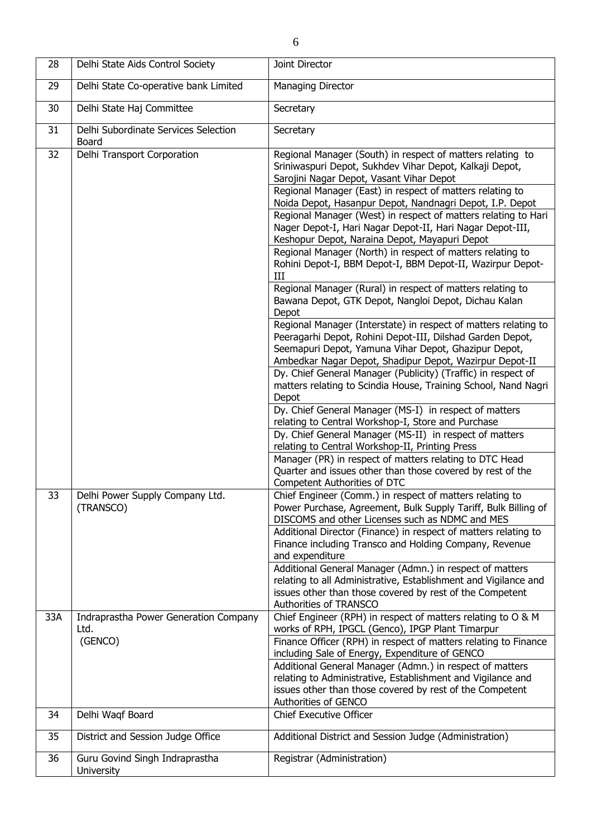| 28  | Delhi State Aids Control Society              | Joint Director                                                                                                                                                                                                                                                                                                                                                                                                                                                                                                                                                                                                                                                                                                                                                                                                                                                                                                                                                                                                                                                                                                                                                                                                                                                                                                                                                                                                                                                                                     |
|-----|-----------------------------------------------|----------------------------------------------------------------------------------------------------------------------------------------------------------------------------------------------------------------------------------------------------------------------------------------------------------------------------------------------------------------------------------------------------------------------------------------------------------------------------------------------------------------------------------------------------------------------------------------------------------------------------------------------------------------------------------------------------------------------------------------------------------------------------------------------------------------------------------------------------------------------------------------------------------------------------------------------------------------------------------------------------------------------------------------------------------------------------------------------------------------------------------------------------------------------------------------------------------------------------------------------------------------------------------------------------------------------------------------------------------------------------------------------------------------------------------------------------------------------------------------------------|
| 29  | Delhi State Co-operative bank Limited         | Managing Director                                                                                                                                                                                                                                                                                                                                                                                                                                                                                                                                                                                                                                                                                                                                                                                                                                                                                                                                                                                                                                                                                                                                                                                                                                                                                                                                                                                                                                                                                  |
| 30  | Delhi State Haj Committee                     | Secretary                                                                                                                                                                                                                                                                                                                                                                                                                                                                                                                                                                                                                                                                                                                                                                                                                                                                                                                                                                                                                                                                                                                                                                                                                                                                                                                                                                                                                                                                                          |
| 31  | Delhi Subordinate Services Selection<br>Board | Secretary                                                                                                                                                                                                                                                                                                                                                                                                                                                                                                                                                                                                                                                                                                                                                                                                                                                                                                                                                                                                                                                                                                                                                                                                                                                                                                                                                                                                                                                                                          |
| 32  | Delhi Transport Corporation                   | Regional Manager (South) in respect of matters relating to<br>Sriniwaspuri Depot, Sukhdev Vihar Depot, Kalkaji Depot,<br>Sarojini Nagar Depot, Vasant Vihar Depot<br>Regional Manager (East) in respect of matters relating to<br>Noida Depot, Hasanpur Depot, Nandnagri Depot, I.P. Depot<br>Regional Manager (West) in respect of matters relating to Hari<br>Nager Depot-I, Hari Nagar Depot-II, Hari Nagar Depot-III,<br>Keshopur Depot, Naraina Depot, Mayapuri Depot<br>Regional Manager (North) in respect of matters relating to<br>Rohini Depot-I, BBM Depot-I, BBM Depot-II, Wazirpur Depot-<br>III<br>Regional Manager (Rural) in respect of matters relating to<br>Bawana Depot, GTK Depot, Nangloi Depot, Dichau Kalan<br>Depot<br>Regional Manager (Interstate) in respect of matters relating to<br>Peeragarhi Depot, Rohini Depot-III, Dilshad Garden Depot,<br>Seemapuri Depot, Yamuna Vihar Depot, Ghazipur Depot,<br>Ambedkar Nagar Depot, Shadipur Depot, Wazirpur Depot-II<br>Dy. Chief General Manager (Publicity) (Traffic) in respect of<br>matters relating to Scindia House, Training School, Nand Nagri<br>Depot<br>Dy. Chief General Manager (MS-I) in respect of matters<br>relating to Central Workshop-I, Store and Purchase<br>Dy. Chief General Manager (MS-II) in respect of matters<br>relating to Central Workshop-II, Printing Press<br>Manager (PR) in respect of matters relating to DTC Head<br>Quarter and issues other than those covered by rest of the |
| 33  | Delhi Power Supply Company Ltd.<br>(TRANSCO)  | Competent Authorities of DTC<br>Chief Engineer (Comm.) in respect of matters relating to<br>Power Purchase, Agreement, Bulk Supply Tariff, Bulk Billing of<br>DISCOMS and other Licenses such as NDMC and MES<br>Additional Director (Finance) in respect of matters relating to                                                                                                                                                                                                                                                                                                                                                                                                                                                                                                                                                                                                                                                                                                                                                                                                                                                                                                                                                                                                                                                                                                                                                                                                                   |
|     |                                               | Finance including Transco and Holding Company, Revenue<br>and expenditure<br>Additional General Manager (Admn.) in respect of matters<br>relating to all Administrative, Establishment and Vigilance and<br>issues other than those covered by rest of the Competent<br>Authorities of TRANSCO                                                                                                                                                                                                                                                                                                                                                                                                                                                                                                                                                                                                                                                                                                                                                                                                                                                                                                                                                                                                                                                                                                                                                                                                     |
| 33A | Indraprastha Power Generation Company<br>Ltd. | Chief Engineer (RPH) in respect of matters relating to O & M<br>works of RPH, IPGCL (Genco), IPGP Plant Timarpur                                                                                                                                                                                                                                                                                                                                                                                                                                                                                                                                                                                                                                                                                                                                                                                                                                                                                                                                                                                                                                                                                                                                                                                                                                                                                                                                                                                   |
|     | (GENCO)                                       | Finance Officer (RPH) in respect of matters relating to Finance<br>including Sale of Energy, Expenditure of GENCO<br>Additional General Manager (Admn.) in respect of matters<br>relating to Administrative, Establishment and Vigilance and<br>issues other than those covered by rest of the Competent<br>Authorities of GENCO                                                                                                                                                                                                                                                                                                                                                                                                                                                                                                                                                                                                                                                                                                                                                                                                                                                                                                                                                                                                                                                                                                                                                                   |
| 34  | Delhi Waqf Board                              | <b>Chief Executive Officer</b>                                                                                                                                                                                                                                                                                                                                                                                                                                                                                                                                                                                                                                                                                                                                                                                                                                                                                                                                                                                                                                                                                                                                                                                                                                                                                                                                                                                                                                                                     |
| 35  | District and Session Judge Office             | Additional District and Session Judge (Administration)                                                                                                                                                                                                                                                                                                                                                                                                                                                                                                                                                                                                                                                                                                                                                                                                                                                                                                                                                                                                                                                                                                                                                                                                                                                                                                                                                                                                                                             |
| 36  | Guru Govind Singh Indraprastha<br>University  | Registrar (Administration)                                                                                                                                                                                                                                                                                                                                                                                                                                                                                                                                                                                                                                                                                                                                                                                                                                                                                                                                                                                                                                                                                                                                                                                                                                                                                                                                                                                                                                                                         |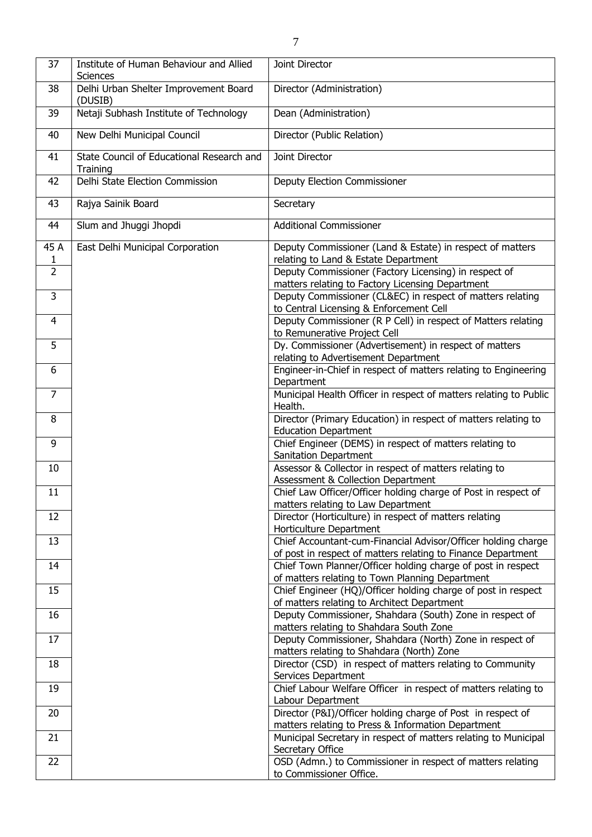| 37                     | Institute of Human Behaviour and Allied<br>Sciences   | Joint Director                                                                                                                |
|------------------------|-------------------------------------------------------|-------------------------------------------------------------------------------------------------------------------------------|
| 38                     | Delhi Urban Shelter Improvement Board<br>(DUSIB)      | Director (Administration)                                                                                                     |
| 39                     | Netaji Subhash Institute of Technology                | Dean (Administration)                                                                                                         |
| 40                     | New Delhi Municipal Council                           | Director (Public Relation)                                                                                                    |
| 41                     | State Council of Educational Research and<br>Training | Joint Director                                                                                                                |
| 42                     | Delhi State Election Commission                       | <b>Deputy Election Commissioner</b>                                                                                           |
| 43                     | Rajya Sainik Board                                    | Secretary                                                                                                                     |
| 44                     | Slum and Jhuggi Jhopdi                                | <b>Additional Commissioner</b>                                                                                                |
| 45 A<br>$\overline{1}$ | East Delhi Municipal Corporation                      | Deputy Commissioner (Land & Estate) in respect of matters<br>relating to Land & Estate Department                             |
| $\overline{2}$         |                                                       | Deputy Commissioner (Factory Licensing) in respect of<br>matters relating to Factory Licensing Department                     |
| 3                      |                                                       | Deputy Commissioner (CL&EC) in respect of matters relating<br>to Central Licensing & Enforcement Cell                         |
| 4                      |                                                       | Deputy Commissioner (R P Cell) in respect of Matters relating<br>to Remunerative Project Cell                                 |
| 5                      |                                                       | Dy. Commissioner (Advertisement) in respect of matters<br>relating to Advertisement Department                                |
| 6                      |                                                       | Engineer-in-Chief in respect of matters relating to Engineering<br>Department                                                 |
| $\overline{7}$         |                                                       | Municipal Health Officer in respect of matters relating to Public<br>Health.                                                  |
| 8                      |                                                       | Director (Primary Education) in respect of matters relating to<br><b>Education Department</b>                                 |
| 9                      |                                                       | Chief Engineer (DEMS) in respect of matters relating to<br>Sanitation Department                                              |
| 10                     |                                                       | Assessor & Collector in respect of matters relating to<br>Assessment & Collection Department                                  |
| 11                     |                                                       | Chief Law Officer/Officer holding charge of Post in respect of<br>matters relating to Law Department                          |
| 12                     |                                                       | Director (Horticulture) in respect of matters relating<br>Horticulture Department                                             |
| 13                     |                                                       | Chief Accountant-cum-Financial Advisor/Officer holding charge<br>of post in respect of matters relating to Finance Department |
| 14                     |                                                       | Chief Town Planner/Officer holding charge of post in respect<br>of matters relating to Town Planning Department               |
| 15                     |                                                       | Chief Engineer (HQ)/Officer holding charge of post in respect<br>of matters relating to Architect Department                  |
| 16                     |                                                       | Deputy Commissioner, Shahdara (South) Zone in respect of<br>matters relating to Shahdara South Zone                           |
| 17                     |                                                       | Deputy Commissioner, Shahdara (North) Zone in respect of<br>matters relating to Shahdara (North) Zone                         |
| 18                     |                                                       | Director (CSD) in respect of matters relating to Community<br>Services Department                                             |
| 19                     |                                                       | Chief Labour Welfare Officer in respect of matters relating to<br>Labour Department                                           |
| 20                     |                                                       | Director (P&I)/Officer holding charge of Post in respect of                                                                   |
| 21                     |                                                       | matters relating to Press & Information Department<br>Municipal Secretary in respect of matters relating to Municipal         |
| 22                     |                                                       | Secretary Office<br>OSD (Admn.) to Commissioner in respect of matters relating                                                |
|                        |                                                       | to Commissioner Office.                                                                                                       |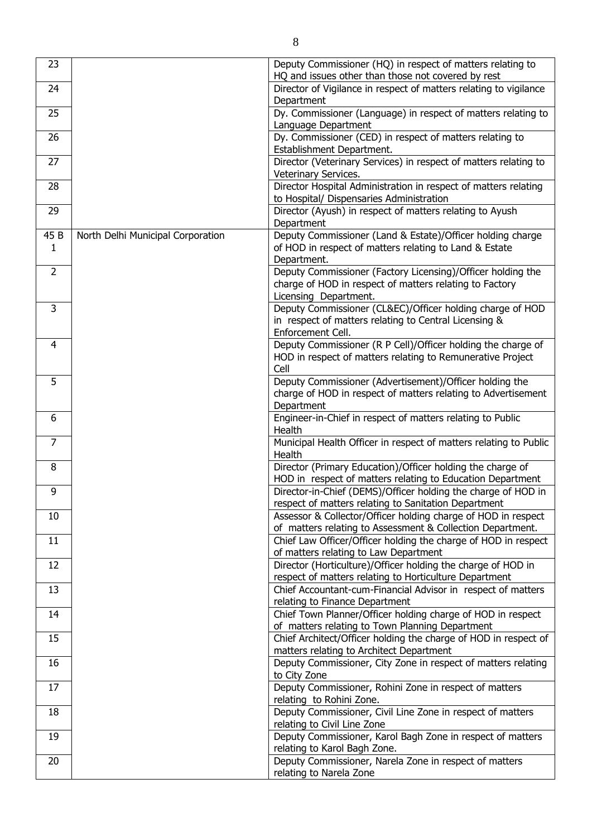| 23   |                                   | Deputy Commissioner (HQ) in respect of matters relating to<br>HQ and issues other than those not covered by rest |
|------|-----------------------------------|------------------------------------------------------------------------------------------------------------------|
| 24   |                                   | Director of Vigilance in respect of matters relating to vigilance                                                |
|      |                                   | Department                                                                                                       |
| 25   |                                   | Dy. Commissioner (Language) in respect of matters relating to<br>Language Department                             |
| 26   |                                   | Dy. Commissioner (CED) in respect of matters relating to                                                         |
|      |                                   | Establishment Department.                                                                                        |
| 27   |                                   | Director (Veterinary Services) in respect of matters relating to                                                 |
|      |                                   | Veterinary Services.                                                                                             |
| 28   |                                   | Director Hospital Administration in respect of matters relating                                                  |
|      |                                   | to Hospital/ Dispensaries Administration                                                                         |
| 29   |                                   | Director (Ayush) in respect of matters relating to Ayush                                                         |
|      |                                   | Department                                                                                                       |
| 45 B | North Delhi Municipal Corporation | Deputy Commissioner (Land & Estate)/Officer holding charge                                                       |
| 1    |                                   | of HOD in respect of matters relating to Land & Estate                                                           |
| 2    |                                   | Department.<br>Deputy Commissioner (Factory Licensing)/Officer holding the                                       |
|      |                                   | charge of HOD in respect of matters relating to Factory                                                          |
|      |                                   | Licensing Department.                                                                                            |
| 3    |                                   | Deputy Commissioner (CL&EC)/Officer holding charge of HOD                                                        |
|      |                                   | in respect of matters relating to Central Licensing &                                                            |
|      |                                   | Enforcement Cell.                                                                                                |
| 4    |                                   | Deputy Commissioner (R P Cell)/Officer holding the charge of                                                     |
|      |                                   | HOD in respect of matters relating to Remunerative Project                                                       |
|      |                                   | Cell                                                                                                             |
| 5    |                                   | Deputy Commissioner (Advertisement)/Officer holding the                                                          |
|      |                                   | charge of HOD in respect of matters relating to Advertisement                                                    |
|      |                                   | Department                                                                                                       |
| 6    |                                   | Engineer-in-Chief in respect of matters relating to Public                                                       |
|      |                                   | Health                                                                                                           |
| 7    |                                   | Municipal Health Officer in respect of matters relating to Public<br>Health                                      |
| 8    |                                   | Director (Primary Education)/Officer holding the charge of                                                       |
|      |                                   | HOD in respect of matters relating to Education Department                                                       |
| 9    |                                   | Director-in-Chief (DEMS)/Officer holding the charge of HOD in                                                    |
|      |                                   | respect of matters relating to Sanitation Department                                                             |
| 10   |                                   | Assessor & Collector/Officer holding charge of HOD in respect                                                    |
|      |                                   | of matters relating to Assessment & Collection Department.                                                       |
| 11   |                                   | Chief Law Officer/Officer holding the charge of HOD in respect                                                   |
| 12   |                                   | of matters relating to Law Department<br>Director (Horticulture)/Officer holding the charge of HOD in            |
|      |                                   | respect of matters relating to Horticulture Department                                                           |
| 13   |                                   | Chief Accountant-cum-Financial Advisor in respect of matters                                                     |
|      |                                   | relating to Finance Department                                                                                   |
| 14   |                                   | Chief Town Planner/Officer holding charge of HOD in respect                                                      |
|      |                                   | of matters relating to Town Planning Department                                                                  |
| 15   |                                   | Chief Architect/Officer holding the charge of HOD in respect of                                                  |
|      |                                   | matters relating to Architect Department                                                                         |
| 16   |                                   | Deputy Commissioner, City Zone in respect of matters relating                                                    |
|      |                                   | to City Zone                                                                                                     |
| 17   |                                   | Deputy Commissioner, Rohini Zone in respect of matters                                                           |
|      |                                   | relating to Rohini Zone.                                                                                         |
| 18   |                                   | Deputy Commissioner, Civil Line Zone in respect of matters                                                       |
|      |                                   | relating to Civil Line Zone                                                                                      |
| 19   |                                   | Deputy Commissioner, Karol Bagh Zone in respect of matters<br>relating to Karol Bagh Zone.                       |
| 20   |                                   | Deputy Commissioner, Narela Zone in respect of matters                                                           |
|      |                                   | relating to Narela Zone                                                                                          |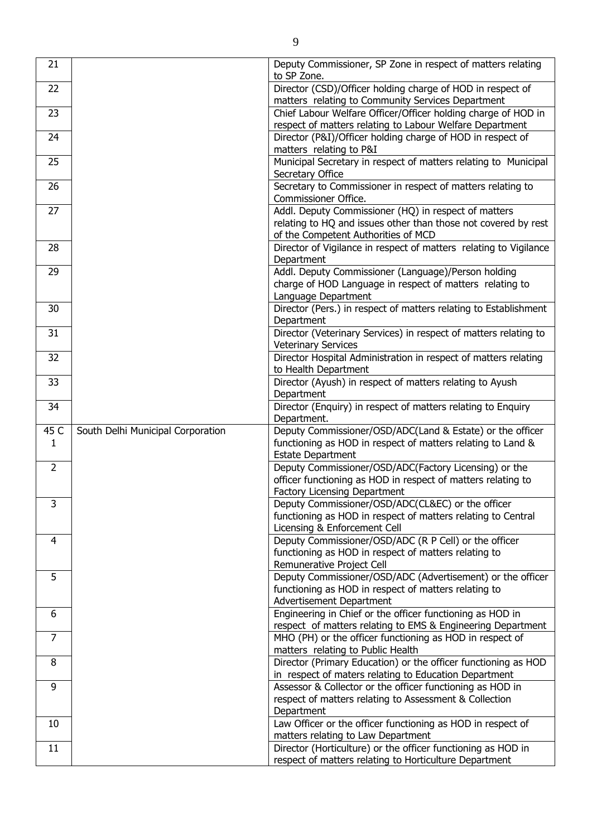| 21                   |                                   | Deputy Commissioner, SP Zone in respect of matters relating<br>to SP Zone.                                                                                    |
|----------------------|-----------------------------------|---------------------------------------------------------------------------------------------------------------------------------------------------------------|
| 22                   |                                   | Director (CSD)/Officer holding charge of HOD in respect of<br>matters relating to Community Services Department                                               |
| 23                   |                                   | Chief Labour Welfare Officer/Officer holding charge of HOD in<br>respect of matters relating to Labour Welfare Department                                     |
| 24                   |                                   | Director (P&I)/Officer holding charge of HOD in respect of<br>matters relating to P&I                                                                         |
| 25                   |                                   | Municipal Secretary in respect of matters relating to Municipal<br>Secretary Office                                                                           |
| 26                   |                                   | Secretary to Commissioner in respect of matters relating to<br>Commissioner Office.                                                                           |
| 27                   |                                   | Addl. Deputy Commissioner (HQ) in respect of matters<br>relating to HQ and issues other than those not covered by rest<br>of the Competent Authorities of MCD |
| 28                   |                                   | Director of Vigilance in respect of matters relating to Vigilance<br>Department                                                                               |
| 29                   |                                   | Addl. Deputy Commissioner (Language)/Person holding<br>charge of HOD Language in respect of matters relating to<br>Language Department                        |
| 30                   |                                   | Director (Pers.) in respect of matters relating to Establishment<br>Department                                                                                |
| 31                   |                                   | Director (Veterinary Services) in respect of matters relating to<br><b>Veterinary Services</b>                                                                |
| 32                   |                                   | Director Hospital Administration in respect of matters relating<br>to Health Department                                                                       |
| 33                   |                                   | Director (Ayush) in respect of matters relating to Ayush<br>Department                                                                                        |
| 34                   |                                   | Director (Enquiry) in respect of matters relating to Enquiry<br>Department.                                                                                   |
| 45 C<br>$\mathbf{1}$ | South Delhi Municipal Corporation | Deputy Commissioner/OSD/ADC(Land & Estate) or the officer<br>functioning as HOD in respect of matters relating to Land &<br><b>Estate Department</b>          |
| $\overline{2}$       |                                   | Deputy Commissioner/OSD/ADC(Factory Licensing) or the<br>officer functioning as HOD in respect of matters relating to<br>Factory Licensing Department         |
| 3                    |                                   | Deputy Commissioner/OSD/ADC(CL&EC) or the officer<br>functioning as HOD in respect of matters relating to Central<br>Licensing & Enforcement Cell             |
| 4                    |                                   | Deputy Commissioner/OSD/ADC (R P Cell) or the officer<br>functioning as HOD in respect of matters relating to<br>Remunerative Project Cell                    |
| 5                    |                                   | Deputy Commissioner/OSD/ADC (Advertisement) or the officer<br>functioning as HOD in respect of matters relating to<br>Advertisement Department                |
| 6                    |                                   | Engineering in Chief or the officer functioning as HOD in<br>respect of matters relating to EMS & Engineering Department                                      |
| $\overline{7}$       |                                   | MHO (PH) or the officer functioning as HOD in respect of<br>matters relating to Public Health                                                                 |
| 8                    |                                   | Director (Primary Education) or the officer functioning as HOD<br>in respect of maters relating to Education Department                                       |
| 9                    |                                   | Assessor & Collector or the officer functioning as HOD in<br>respect of matters relating to Assessment & Collection                                           |
| 10                   |                                   | Department<br>Law Officer or the officer functioning as HOD in respect of                                                                                     |
| 11                   |                                   | matters relating to Law Department<br>Director (Horticulture) or the officer functioning as HOD in<br>respect of matters relating to Horticulture Department  |